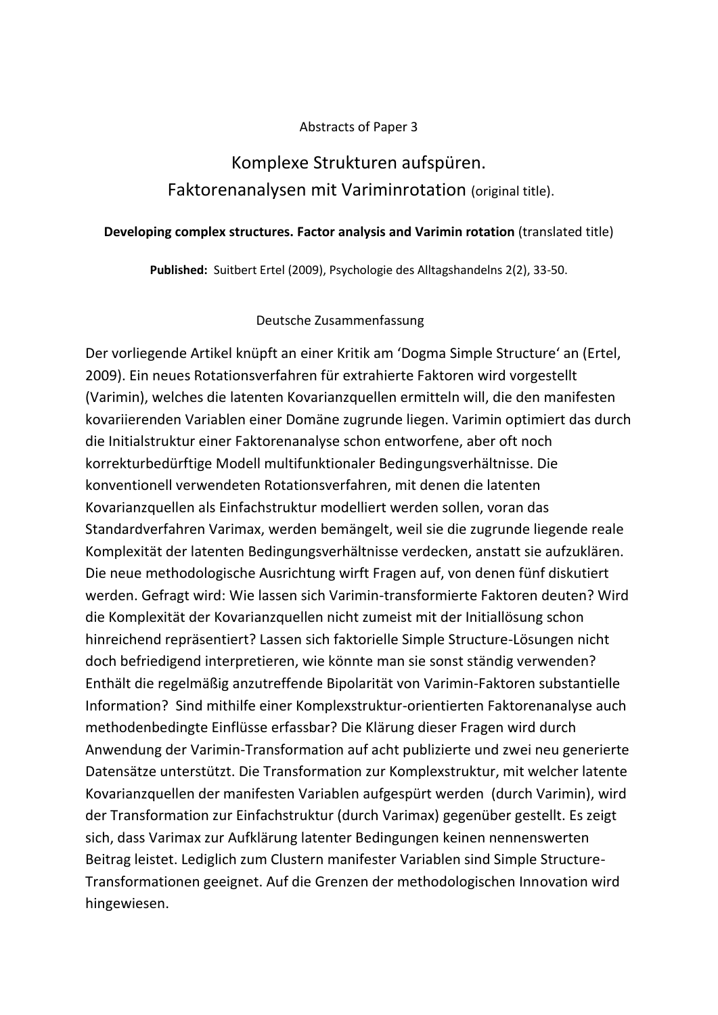### Abstracts of Paper 3

# Komplexe Strukturen aufspüren. Faktorenanalysen mit Variminrotation (original title).

#### **Developing complex structures. Factor analysis and Varimin rotation** (translated title)

**Published:** Suitbert Ertel (2009), Psychologie des Alltagshandelns 2(2), 33-50.

## Deutsche Zusammenfassung

Der vorliegende Artikel knüpft an einer Kritik am 'Dogma Simple Structure' an (Ertel, 2009). Ein neues Rotationsverfahren für extrahierte Faktoren wird vorgestellt (Varimin), welches die latenten Kovarianzquellen ermitteln will, die den manifesten kovariierenden Variablen einer Domäne zugrunde liegen. Varimin optimiert das durch die Initialstruktur einer Faktorenanalyse schon entworfene, aber oft noch korrekturbedürftige Modell multifunktionaler Bedingungsverhältnisse. Die konventionell verwendeten Rotationsverfahren, mit denen die latenten Kovarianzquellen als Einfachstruktur modelliert werden sollen, voran das Standardverfahren Varimax, werden bemängelt, weil sie die zugrunde liegende reale Komplexität der latenten Bedingungsverhältnisse verdecken, anstatt sie aufzuklären. Die neue methodologische Ausrichtung wirft Fragen auf, von denen fünf diskutiert werden. Gefragt wird: Wie lassen sich Varimin-transformierte Faktoren deuten? Wird die Komplexität der Kovarianzquellen nicht zumeist mit der Initiallösung schon hinreichend repräsentiert? Lassen sich faktorielle Simple Structure-Lösungen nicht doch befriedigend interpretieren, wie könnte man sie sonst ständig verwenden? Enthält die regelmäßig anzutreffende Bipolarität von Varimin-Faktoren substantielle Information? Sind mithilfe einer Komplexstruktur-orientierten Faktorenanalyse auch methodenbedingte Einflüsse erfassbar? Die Klärung dieser Fragen wird durch Anwendung der Varimin-Transformation auf acht publizierte und zwei neu generierte Datensätze unterstützt. Die Transformation zur Komplexstruktur, mit welcher latente Kovarianzquellen der manifesten Variablen aufgespürt werden (durch Varimin), wird der Transformation zur Einfachstruktur (durch Varimax) gegenüber gestellt. Es zeigt sich, dass Varimax zur Aufklärung latenter Bedingungen keinen nennenswerten Beitrag leistet. Lediglich zum Clustern manifester Variablen sind Simple Structure-Transformationen geeignet. Auf die Grenzen der methodologischen Innovation wird hingewiesen.